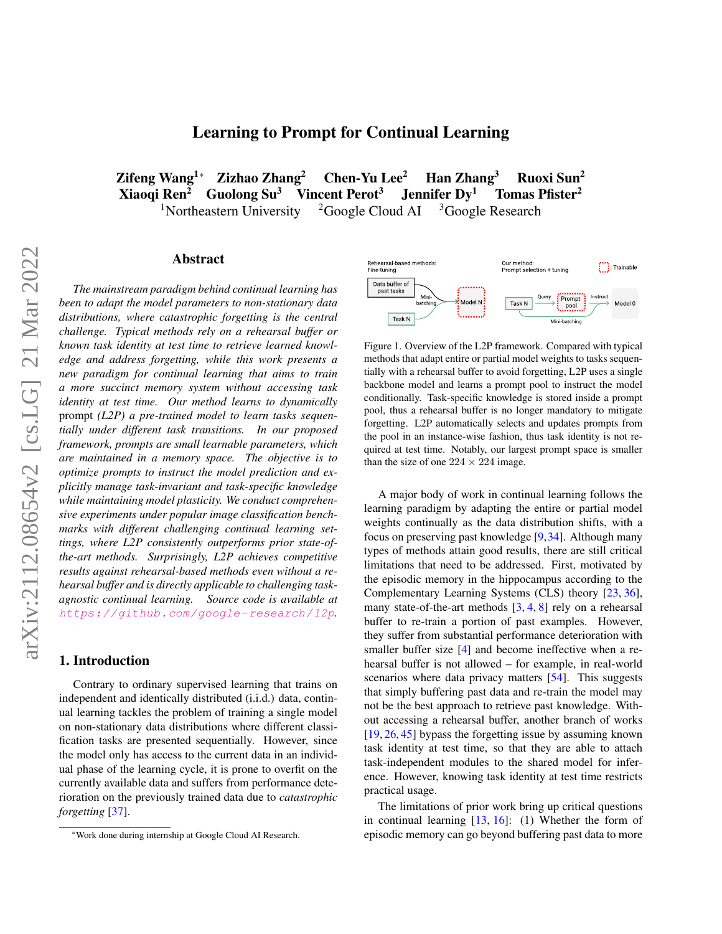<span id="page-0-1"></span> $Z$ ifeng Wang<sup>1\*</sup> Zizhao Zhang<sup>2</sup> Chen-Yu Lee<sup>2</sup> Han Zhang<sup>3</sup> Ruoxi Sun<sup>2</sup> Xiaoqi Ren<sup>2</sup> Guolong Su<sup>3</sup> Vincent Perot<sup>3</sup> Jennifer Dy<sup>1</sup> Tomas Pfister<sup>2</sup> <sup>1</sup>Northeastern University  $2G\text{oogle}$  Cloud AI  $3G\text{oogle}$  Research

# Abstract

*The mainstream paradigm behind continual learning has been to adapt the model parameters to non-stationary data distributions, where catastrophic forgetting is the central challenge. Typical methods rely on a rehearsal buffer or known task identity at test time to retrieve learned knowledge and address forgetting, while this work presents a new paradigm for continual learning that aims to train a more succinct memory system without accessing task identity at test time. Our method learns to dynamically* prompt *(L2P) a pre-trained model to learn tasks sequentially under different task transitions. In our proposed framework, prompts are small learnable parameters, which are maintained in a memory space. The objective is to optimize prompts to instruct the model prediction and explicitly manage task-invariant and task-specific knowledge while maintaining model plasticity. We conduct comprehensive experiments under popular image classification benchmarks with different challenging continual learning settings, where L2P consistently outperforms prior state-ofthe-art methods. Surprisingly, L2P achieves competitive results against rehearsal-based methods even without a rehearsal buffer and is directly applicable to challenging taskagnostic continual learning. Source code is available at* <https://github.com/google-research/l2p>*.*

# 1. Introduction

Contrary to ordinary supervised learning that trains on independent and identically distributed (i.i.d.) data, continual learning tackles the problem of training a single model on non-stationary data distributions where different classification tasks are presented sequentially. However, since the model only has access to the current data in an individual phase of the learning cycle, it is prone to overfit on the currently available data and suffers from performance deterioration on the previously trained data due to *catastrophic forgetting* [\[37\]](#page-9-0).

<span id="page-0-0"></span>

Figure 1. Overview of the L2P framework. Compared with typical methods that adapt entire or partial model weights to tasks sequentially with a rehearsal buffer to avoid forgetting, L2P uses a single backbone model and learns a prompt pool to instruct the model conditionally. Task-specific knowledge is stored inside a prompt pool, thus a rehearsal buffer is no longer mandatory to mitigate forgetting. L2P automatically selects and updates prompts from the pool in an instance-wise fashion, thus task identity is not required at test time. Notably, our largest prompt space is smaller than the size of one  $224 \times 224$  image.

A major body of work in continual learning follows the learning paradigm by adapting the entire or partial model weights continually as the data distribution shifts, with a focus on preserving past knowledge [\[9,](#page-8-0)[34\]](#page-9-1). Although many types of methods attain good results, there are still critical limitations that need to be addressed. First, motivated by the episodic memory in the hippocampus according to the Complementary Learning Systems (CLS) theory [\[23,](#page-8-1) [36\]](#page-9-2), many state-of-the-art methods [\[3,](#page-8-2) [4,](#page-8-3) [8\]](#page-8-4) rely on a rehearsal buffer to re-train a portion of past examples. However, they suffer from substantial performance deterioration with smaller buffer size [\[4\]](#page-8-3) and become ineffective when a rehearsal buffer is not allowed – for example, in real-world scenarios where data privacy matters [\[54\]](#page-10-0). This suggests that simply buffering past data and re-train the model may not be the best approach to retrieve past knowledge. Without accessing a rehearsal buffer, another branch of works [\[19,](#page-8-5) [26,](#page-9-3) [45\]](#page-9-4) bypass the forgetting issue by assuming known task identity at test time, so that they are able to attach task-independent modules to the shared model for inference. However, knowing task identity at test time restricts practical usage.

The limitations of prior work bring up critical questions in continual learning [\[13,](#page-8-6) [16\]](#page-8-7): (1) Whether the form of episodic memory can go beyond buffering past data to more

<sup>\*</sup>Work done during internship at Google Cloud AI Research.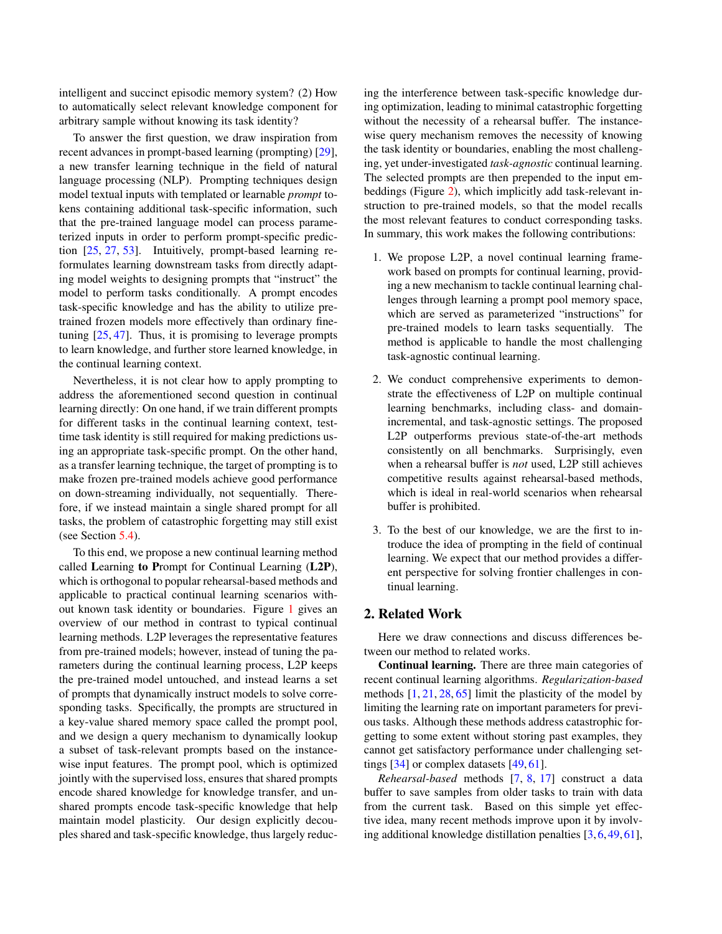<span id="page-1-0"></span>intelligent and succinct episodic memory system? (2) How to automatically select relevant knowledge component for arbitrary sample without knowing its task identity?

To answer the first question, we draw inspiration from recent advances in prompt-based learning (prompting) [\[29\]](#page-9-5), a new transfer learning technique in the field of natural language processing (NLP). Prompting techniques design model textual inputs with templated or learnable *prompt* tokens containing additional task-specific information, such that the pre-trained language model can process parameterized inputs in order to perform prompt-specific prediction [\[25,](#page-9-6) [27,](#page-9-7) [53\]](#page-10-1). Intuitively, prompt-based learning reformulates learning downstream tasks from directly adapting model weights to designing prompts that "instruct" the model to perform tasks conditionally. A prompt encodes task-specific knowledge and has the ability to utilize pretrained frozen models more effectively than ordinary finetuning [\[25,](#page-9-6) [47\]](#page-9-8). Thus, it is promising to leverage prompts to learn knowledge, and further store learned knowledge, in the continual learning context.

Nevertheless, it is not clear how to apply prompting to address the aforementioned second question in continual learning directly: On one hand, if we train different prompts for different tasks in the continual learning context, testtime task identity is still required for making predictions using an appropriate task-specific prompt. On the other hand, as a transfer learning technique, the target of prompting is to make frozen pre-trained models achieve good performance on down-streaming individually, not sequentially. Therefore, if we instead maintain a single shared prompt for all tasks, the problem of catastrophic forgetting may still exist (see Section [5.4\)](#page-7-0).

To this end, we propose a new continual learning method called Learning to Prompt for Continual Learning (L2P), which is orthogonal to popular rehearsal-based methods and applicable to practical continual learning scenarios without known task identity or boundaries. Figure [1](#page-0-0) gives an overview of our method in contrast to typical continual learning methods. L2P leverages the representative features from pre-trained models; however, instead of tuning the parameters during the continual learning process, L2P keeps the pre-trained model untouched, and instead learns a set of prompts that dynamically instruct models to solve corresponding tasks. Specifically, the prompts are structured in a key-value shared memory space called the prompt pool, and we design a query mechanism to dynamically lookup a subset of task-relevant prompts based on the instancewise input features. The prompt pool, which is optimized jointly with the supervised loss, ensures that shared prompts encode shared knowledge for knowledge transfer, and unshared prompts encode task-specific knowledge that help maintain model plasticity. Our design explicitly decouples shared and task-specific knowledge, thus largely reducing the interference between task-specific knowledge during optimization, leading to minimal catastrophic forgetting without the necessity of a rehearsal buffer. The instancewise query mechanism removes the necessity of knowing the task identity or boundaries, enabling the most challenging, yet under-investigated *task-agnostic* continual learning. The selected prompts are then prepended to the input embeddings (Figure [2\)](#page-3-0), which implicitly add task-relevant instruction to pre-trained models, so that the model recalls the most relevant features to conduct corresponding tasks. In summary, this work makes the following contributions:

- 1. We propose L2P, a novel continual learning framework based on prompts for continual learning, providing a new mechanism to tackle continual learning challenges through learning a prompt pool memory space, which are served as parameterized "instructions" for pre-trained models to learn tasks sequentially. The method is applicable to handle the most challenging task-agnostic continual learning.
- 2. We conduct comprehensive experiments to demonstrate the effectiveness of L2P on multiple continual learning benchmarks, including class- and domainincremental, and task-agnostic settings. The proposed L2P outperforms previous state-of-the-art methods consistently on all benchmarks. Surprisingly, even when a rehearsal buffer is *not* used, L2P still achieves competitive results against rehearsal-based methods, which is ideal in real-world scenarios when rehearsal buffer is prohibited.
- 3. To the best of our knowledge, we are the first to introduce the idea of prompting in the field of continual learning. We expect that our method provides a different perspective for solving frontier challenges in continual learning.

### 2. Related Work

Here we draw connections and discuss differences between our method to related works.

Continual learning. There are three main categories of recent continual learning algorithms. *Regularization-based* methods  $[1, 21, 28, 65]$  $[1, 21, 28, 65]$  $[1, 21, 28, 65]$  $[1, 21, 28, 65]$  $[1, 21, 28, 65]$  $[1, 21, 28, 65]$  $[1, 21, 28, 65]$  limit the plasticity of the model by limiting the learning rate on important parameters for previous tasks. Although these methods address catastrophic forgetting to some extent without storing past examples, they cannot get satisfactory performance under challenging settings  $[34]$  or complex datasets  $[49, 61]$  $[49, 61]$  $[49, 61]$ .

*Rehearsal-based* methods [\[7,](#page-8-10) [8,](#page-8-4) [17\]](#page-8-11) construct a data buffer to save samples from older tasks to train with data from the current task. Based on this simple yet effective idea, many recent methods improve upon it by involving additional knowledge distillation penalties [\[3,](#page-8-2)[6,](#page-8-12)[49,](#page-9-10)[61\]](#page-10-3),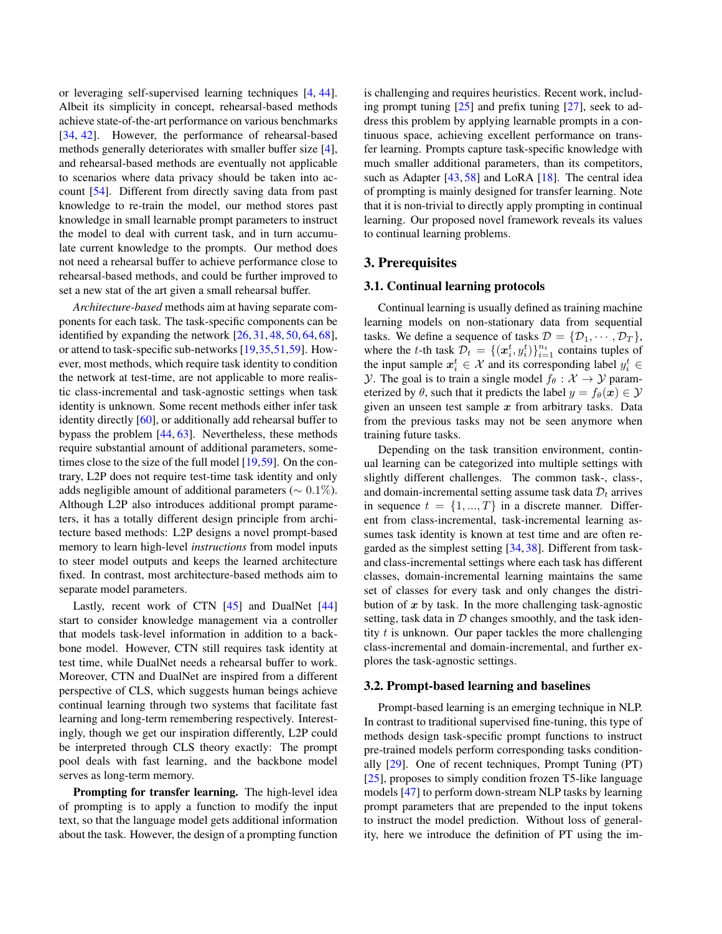<span id="page-2-1"></span>or leveraging self-supervised learning techniques [\[4,](#page-8-3) [44\]](#page-9-11). Albeit its simplicity in concept, rehearsal-based methods achieve state-of-the-art performance on various benchmarks [\[34,](#page-9-1) [42\]](#page-9-12). However, the performance of rehearsal-based methods generally deteriorates with smaller buffer size [\[4\]](#page-8-3), and rehearsal-based methods are eventually not applicable to scenarios where data privacy should be taken into account [\[54\]](#page-10-0). Different from directly saving data from past knowledge to re-train the model, our method stores past knowledge in small learnable prompt parameters to instruct the model to deal with current task, and in turn accumulate current knowledge to the prompts. Our method does not need a rehearsal buffer to achieve performance close to rehearsal-based methods, and could be further improved to set a new stat of the art given a small rehearsal buffer.

*Architecture-based* methods aim at having separate components for each task. The task-specific components can be identified by expanding the network [\[26,](#page-9-3) [31,](#page-9-13) [48,](#page-9-14) [50,](#page-10-4) [64,](#page-10-5) [68\]](#page-10-6), or attend to task-specific sub-networks [\[19,](#page-8-5)[35,](#page-9-15)[51](#page-10-7)[,59\]](#page-10-8). However, most methods, which require task identity to condition the network at test-time, are not applicable to more realistic class-incremental and task-agnostic settings when task identity is unknown. Some recent methods either infer task identity directly [\[60\]](#page-10-9), or additionally add rehearsal buffer to bypass the problem [\[44,](#page-9-11) [63\]](#page-10-10). Nevertheless, these methods require substantial amount of additional parameters, some-times close to the size of the full model [\[19,](#page-8-5)[59\]](#page-10-8). On the contrary, L2P does not require test-time task identity and only adds negligible amount of additional parameters ( $\sim 0.1\%$ ). Although L2P also introduces additional prompt parameters, it has a totally different design principle from architecture based methods: L2P designs a novel prompt-based memory to learn high-level *instructions* from model inputs to steer model outputs and keeps the learned architecture fixed. In contrast, most architecture-based methods aim to separate model parameters.

Lastly, recent work of CTN  $[45]$  and DualNet  $[44]$ start to consider knowledge management via a controller that models task-level information in addition to a backbone model. However, CTN still requires task identity at test time, while DualNet needs a rehearsal buffer to work. Moreover, CTN and DualNet are inspired from a different perspective of CLS, which suggests human beings achieve continual learning through two systems that facilitate fast learning and long-term remembering respectively. Interestingly, though we get our inspiration differently, L2P could be interpreted through CLS theory exactly: The prompt pool deals with fast learning, and the backbone model serves as long-term memory.

Prompting for transfer learning. The high-level idea of prompting is to apply a function to modify the input text, so that the language model gets additional information about the task. However, the design of a prompting function

is challenging and requires heuristics. Recent work, including prompt tuning [\[25\]](#page-9-6) and prefix tuning [\[27\]](#page-9-7), seek to address this problem by applying learnable prompts in a continuous space, achieving excellent performance on transfer learning. Prompts capture task-specific knowledge with much smaller additional parameters, than its competitors, such as Adapter [\[43,](#page-9-16) [58\]](#page-10-11) and LoRA [\[18\]](#page-8-13). The central idea of prompting is mainly designed for transfer learning. Note that it is non-trivial to directly apply prompting in continual learning. Our proposed novel framework reveals its values to continual learning problems.

# 3. Prerequisites

### 3.1. Continual learning protocols

Continual learning is usually defined as training machine learning models on non-stationary data from sequential tasks. We define a sequence of tasks  $\mathcal{D} = \{ \mathcal{D}_1, \cdots, \mathcal{D}_T \},\$ where the t-th task  $\mathcal{D}_t = \{(\mathbf{x}_i^t, y_i^t)\}_{i=1}^{n_t}$  contains tuples of the input sample  $x_i^t \in \mathcal{X}$  and its corresponding label  $y_i^t \in$ *Y*. The goal is to train a single model  $f_{\theta}: \mathcal{X} \rightarrow \mathcal{Y}$  parameterized by  $\theta$ , such that it predicts the label  $y = f_{\theta}(x) \in \mathcal{Y}$ given an unseen test sample  $x$  from arbitrary tasks. Data from the previous tasks may not be seen anymore when training future tasks.

Depending on the task transition environment, continual learning can be categorized into multiple settings with slightly different challenges. The common task-, class-, and domain-incremental setting assume task data  $\mathcal{D}_t$  arrives in sequence  $t = \{1, ..., T\}$  in a discrete manner. Different from class-incremental, task-incremental learning assumes task identity is known at test time and are often regarded as the simplest setting [\[34,](#page-9-1) [38\]](#page-9-17). Different from taskand class-incremental settings where each task has different classes, domain-incremental learning maintains the same set of classes for every task and only changes the distribution of  $x$  by task. In the more challenging task-agnostic setting, task data in  $D$  changes smoothly, and the task identity  $t$  is unknown. Our paper tackles the more challenging class-incremental and domain-incremental, and further explores the task-agnostic settings.

#### <span id="page-2-0"></span>3.2. Prompt-based learning and baselines

Prompt-based learning is an emerging technique in NLP. In contrast to traditional supervised fine-tuning, this type of methods design task-specific prompt functions to instruct pre-trained models perform corresponding tasks conditionally [\[29\]](#page-9-5). One of recent techniques, Prompt Tuning (PT) [\[25\]](#page-9-6), proposes to simply condition frozen T5-like language models [\[47\]](#page-9-8) to perform down-stream NLP tasks by learning prompt parameters that are prepended to the input tokens to instruct the model prediction. Without loss of generality, here we introduce the definition of PT using the im-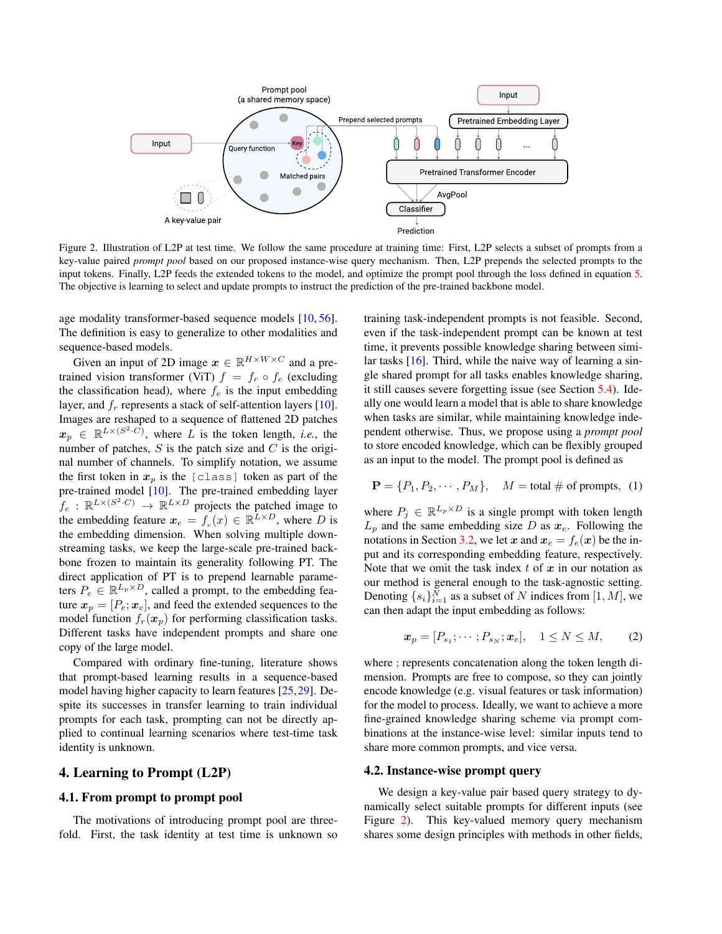<span id="page-3-2"></span><span id="page-3-0"></span>

Figure 2. Illustration of L2P at test time. We follow the same procedure at training time: First, L2P selects a subset of prompts from a key-value paired *prompt pool* based on our proposed instance-wise query mechanism. Then, L2P prepends the selected prompts to the input tokens. Finally, L2P feeds the extended tokens to the model, and optimize the prompt pool through the loss defined in equation [5.](#page-4-0) The objective is learning to select and update prompts to instruct the prediction of the pre-trained backbone model.

age modality transformer-based sequence models [\[10,](#page-8-14) [56\]](#page-10-12). The definition is easy to generalize to other modalities and sequence-based models.

Given an input of 2D image  $x \in \mathbb{R}^{H \times W \times C}$  and a pretrained vision transformer (ViT)  $f = f_r \circ f_e$  (excluding the classification head), where  $f_e$  is the input embedding layer, and  $f_r$  represents a stack of self-attention layers [\[10\]](#page-8-14). Images are reshaped to a sequence of flattened 2D patches  $x_p \in \mathbb{R}^{L \times (S^2 \cdot C)}$ , where L is the token length, *i.e.*, the number of patches,  $S$  is the patch size and  $C$  is the original number of channels. To simplify notation, we assume the first token in  $x_p$  is the [class] token as part of the pre-trained model [\[10\]](#page-8-14). The pre-trained embedding layer  $f_e$ :  $\mathbb{R}^{L\times(S^2\cdot C)} \to \mathbb{R}^{L\times D}$  projects the patched image to the embedding feature  $x_e = f_e(x) \in \mathbb{R}^{\bar{L} \times D}$ , where D is the embedding dimension. When solving multiple downstreaming tasks, we keep the large-scale pre-trained backbone frozen to maintain its generality following PT. The direct application of PT is to prepend learnable parameters  $P_e \in \mathbb{R}^{L_p \times D}$ , called a prompt, to the embedding feature  $x_p = [P_e; x_e]$ , and feed the extended sequences to the model function  $f_r(x_p)$  for performing classification tasks. Different tasks have independent prompts and share one copy of the large model.

Compared with ordinary fine-tuning, literature shows that prompt-based learning results in a sequence-based model having higher capacity to learn features [\[25,](#page-9-6)[29\]](#page-9-5). Despite its successes in transfer learning to train individual prompts for each task, prompting can not be directly applied to continual learning scenarios where test-time task identity is unknown.

# 4. Learning to Prompt (L2P)

## 4.1. From prompt to prompt pool

The motivations of introducing prompt pool are threefold. First, the task identity at test time is unknown so training task-independent prompts is not feasible. Second, even if the task-independent prompt can be known at test time, it prevents possible knowledge sharing between similar tasks [\[16\]](#page-8-7). Third, while the naive way of learning a single shared prompt for all tasks enables knowledge sharing, it still causes severe forgetting issue (see Section [5.4\)](#page-7-0). Ideally one would learn a model that is able to share knowledge when tasks are similar, while maintaining knowledge independent otherwise. Thus, we propose using a *prompt pool* to store encoded knowledge, which can be flexibly grouped as an input to the model. The prompt pool is defined as

$$
\mathbf{P} = \{P_1, P_2, \cdots, P_M\}, \quad M = \text{total \# of prompts, (1)}
$$

where  $P_j \in \mathbb{R}^{L_p \times D}$  is a single prompt with token length  $L_p$  and the same embedding size D as  $x_e$ . Following the notations in Section [3.2,](#page-2-0) we let x and  $x_e = f_e(x)$  be the input and its corresponding embedding feature, respectively. Note that we omit the task index  $t$  of  $x$  in our notation as our method is general enough to the task-agnostic setting. Denoting  $\{s_i\}_{i=1}^N$  as a subset of N indices from  $[1, M]$ , we can then adapt the input embedding as follows:

$$
\boldsymbol{x}_p = [P_{s_1}; \cdots; P_{s_N}; \boldsymbol{x}_e], \quad 1 \le N \le M, \qquad (2)
$$

where ; represents concatenation along the token length dimension. Prompts are free to compose, so they can jointly encode knowledge (e.g. visual features or task information) for the model to process. Ideally, we want to achieve a more fine-grained knowledge sharing scheme via prompt combinations at the instance-wise level: similar inputs tend to share more common prompts, and vice versa.

#### <span id="page-3-1"></span>4.2. Instance-wise prompt query

We design a key-value pair based query strategy to dynamically select suitable prompts for different inputs (see Figure [2\)](#page-3-0). This key-valued memory query mechanism shares some design principles with methods in other fields,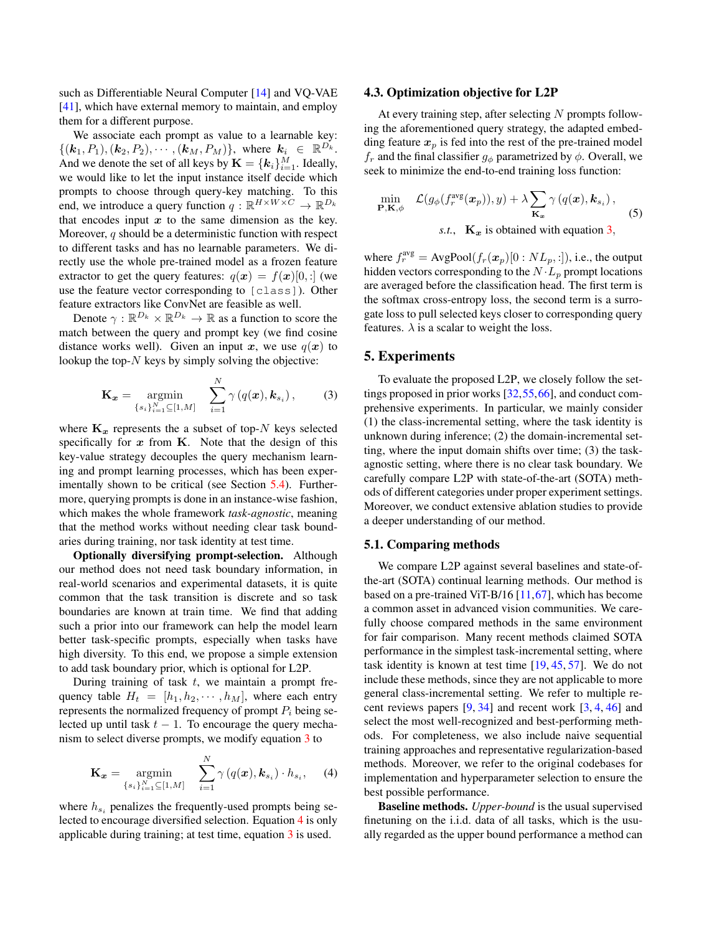<span id="page-4-3"></span>such as Differentiable Neural Computer [\[14\]](#page-8-15) and VQ-VAE [\[41\]](#page-9-18), which have external memory to maintain, and employ them for a different purpose.

We associate each prompt as value to a learnable key:  $\{(\mathbf{k}_1, P_1), (\mathbf{k}_2, P_2), \cdots, (\mathbf{k}_M, P_M)\}\$ , where  $\mathbf{k}_i \in \mathbb{R}^{D_k}$ . And we denote the set of all keys by  $\mathbf{K} = \{\bm{k}_i\}_{i=1}^M$ . Ideally, we would like to let the input instance itself decide which prompts to choose through query-key matching. To this end, we introduce a query function  $q : \mathbb{R}^{H \times W \times C} \rightarrow \mathbb{R}^{D_k}$ that encodes input  $x$  to the same dimension as the key. Moreover,  $q$  should be a deterministic function with respect to different tasks and has no learnable parameters. We directly use the whole pre-trained model as a frozen feature extractor to get the query features:  $q(x) = f(x)[0, :]$  (we use the feature vector corresponding to [class]). Other feature extractors like ConvNet are feasible as well.

Denote  $\gamma : \mathbb{R}^{D_k} \times \mathbb{R}^{D_k} \to \mathbb{R}$  as a function to score the match between the query and prompt key (we find cosine distance works well). Given an input x, we use  $q(x)$  to lookup the top- $N$  keys by simply solving the objective:

<span id="page-4-1"></span>
$$
\mathbf{K}_{\boldsymbol{x}} = \underset{\{s_i\}_{i=1}^N \subseteq [1,M]}{\operatorname{argmin}} \quad \sum_{i=1}^N \gamma(q(\boldsymbol{x}), \boldsymbol{k}_{s_i}), \quad (3)
$$

where  $\mathbf{K}_x$  represents the a subset of top-N keys selected specifically for  $x$  from  $K$ . Note that the design of this key-value strategy decouples the query mechanism learning and prompt learning processes, which has been experimentally shown to be critical (see Section [5.4\)](#page-7-0). Furthermore, querying prompts is done in an instance-wise fashion, which makes the whole framework *task-agnostic*, meaning that the method works without needing clear task boundaries during training, nor task identity at test time.

Optionally diversifying prompt-selection. Although our method does not need task boundary information, in real-world scenarios and experimental datasets, it is quite common that the task transition is discrete and so task boundaries are known at train time. We find that adding such a prior into our framework can help the model learn better task-specific prompts, especially when tasks have high diversity. To this end, we propose a simple extension to add task boundary prior, which is optional for L2P.

During training of task  $t$ , we maintain a prompt frequency table  $H_t = [h_1, h_2, \dots, h_M]$ , where each entry represents the normalized frequency of prompt  $P_i$  being selected up until task  $t - 1$ . To encourage the query mechanism to select diverse prompts, we modify equation [3](#page-4-1) to

<span id="page-4-2"></span>
$$
\mathbf{K}_{\boldsymbol{x}} = \operatorname*{argmin}_{\{s_i\}_{i=1}^N \subseteq [1,M]} \quad \sum_{i=1}^N \gamma(q(\boldsymbol{x}), \boldsymbol{k}_{s_i}) \cdot h_{s_i}, \quad (4)
$$

where  $h_{s_i}$  penalizes the frequently-used prompts being selected to encourage diversified selection. Equation [4](#page-4-2) is only applicable during training; at test time, equation [3](#page-4-1) is used.

#### 4.3. Optimization objective for L2P

At every training step, after selecting  $N$  prompts following the aforementioned query strategy, the adapted embedding feature  $x_p$  is fed into the rest of the pre-trained model  $f_r$  and the final classifier  $g_\phi$  parametrized by  $\phi$ . Overall, we seek to minimize the end-to-end training loss function:

<span id="page-4-0"></span>
$$
\min_{\mathbf{P}, \mathbf{K}, \phi} \quad \mathcal{L}(g_{\phi}(f_r^{\text{avg}}(\boldsymbol{x}_p)), y) + \lambda \sum_{\mathbf{K}_{\boldsymbol{x}}} \gamma(q(\boldsymbol{x}), \boldsymbol{k}_{s_i}),
$$
\n
$$
s.t., \quad \mathbf{K}_{\boldsymbol{x}} \text{ is obtained with equation 3,}
$$
\n(5)

where  $f_r^{\text{avg}} = \text{AvgPool}(f_r(\boldsymbol{x}_p)[0:NL_p, :]),$  i.e., the output hidden vectors corresponding to the  $N \cdot L_p$  prompt locations are averaged before the classification head. The first term is the softmax cross-entropy loss, the second term is a surrogate loss to pull selected keys closer to corresponding query features.  $\lambda$  is a scalar to weight the loss.

# 5. Experiments

To evaluate the proposed L2P, we closely follow the settings proposed in prior works [\[32,](#page-9-19)[55](#page-10-13)[,66\]](#page-10-14), and conduct comprehensive experiments. In particular, we mainly consider (1) the class-incremental setting, where the task identity is unknown during inference; (2) the domain-incremental setting, where the input domain shifts over time; (3) the taskagnostic setting, where there is no clear task boundary. We carefully compare L2P with state-of-the-art (SOTA) methods of different categories under proper experiment settings. Moreover, we conduct extensive ablation studies to provide a deeper understanding of our method.

### 5.1. Comparing methods

We compare L2P against several baselines and state-ofthe-art (SOTA) continual learning methods. Our method is based on a pre-trained ViT-B/16 [\[11,](#page-8-16)[67\]](#page-10-15), which has become a common asset in advanced vision communities. We carefully choose compared methods in the same environment for fair comparison. Many recent methods claimed SOTA performance in the simplest task-incremental setting, where task identity is known at test time [\[19,](#page-8-5) [45,](#page-9-4) [57\]](#page-10-16). We do not include these methods, since they are not applicable to more general class-incremental setting. We refer to multiple recent reviews papers  $[9, 34]$  $[9, 34]$  $[9, 34]$  and recent work  $[3, 4, 46]$  $[3, 4, 46]$  $[3, 4, 46]$  $[3, 4, 46]$  $[3, 4, 46]$  and select the most well-recognized and best-performing methods. For completeness, we also include naive sequential training approaches and representative regularization-based methods. Moreover, we refer to the original codebases for implementation and hyperparameter selection to ensure the best possible performance.

Baseline methods. *Upper-bound* is the usual supervised finetuning on the i.i.d. data of all tasks, which is the usually regarded as the upper bound performance a method can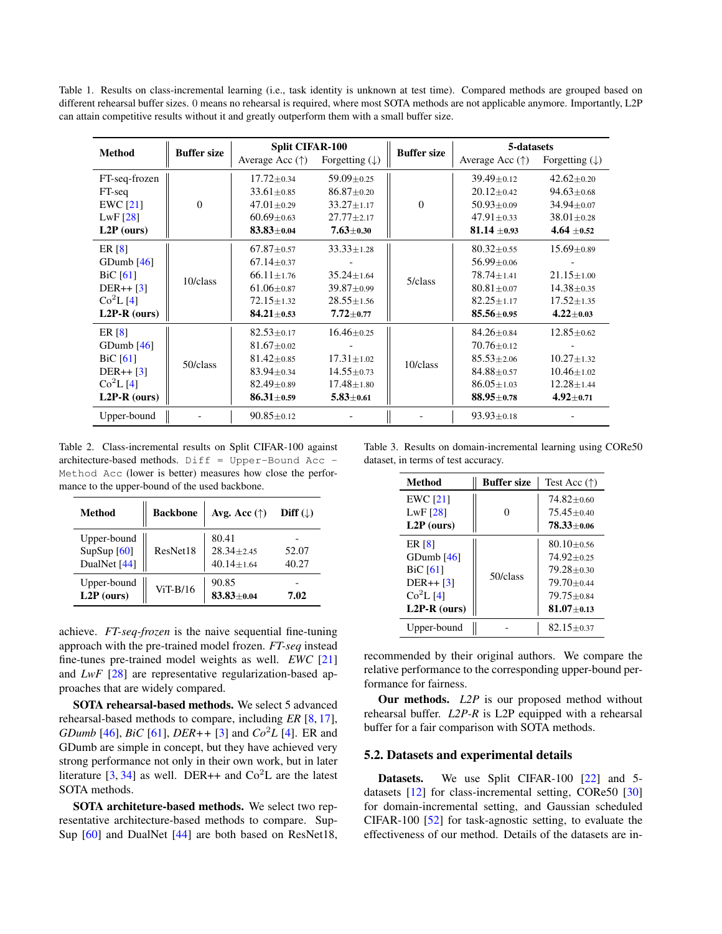<span id="page-5-3"></span><span id="page-5-0"></span>Table 1. Results on class-incremental learning (i.e., task identity is unknown at test time). Compared methods are grouped based on different rehearsal buffer sizes. 0 means no rehearsal is required, where most SOTA methods are not applicable anymore. Importantly, L2P can attain competitive results without it and greatly outperform them with a small buffer size.

| <b>Method</b>   | <b>Buffer size</b> | <b>Split CIFAR-100</b>   |                           | <b>Buffer size</b> | 5-datasets               |                           |
|-----------------|--------------------|--------------------------|---------------------------|--------------------|--------------------------|---------------------------|
|                 |                    | Average Acc $(\uparrow)$ | Forgetting $(\downarrow)$ |                    | Average Acc $(\uparrow)$ | Forgetting $(\downarrow)$ |
| FT-seq-frozen   |                    | $17.72 \pm 0.34$         | $59.09 \pm 0.25$          |                    | $39.49 \pm 0.12$         | $42.62 + 0.20$            |
| FT-seq          |                    | $33.61 \pm 0.85$         | $86.87 \pm 0.20$          |                    | $20.12 \pm 0.42$         | $94.63 \pm 0.68$          |
| <b>EWC</b> [21] | $\Omega$           | $47.01 \pm 0.29$         | $33.27 \pm 1.17$          | $\Omega$           | $50.93 \pm 0.09$         | $34.94 \pm 0.07$          |
| LwF[28]         |                    | $60.69 \pm 0.63$         | $27.77 \pm 2.17$          |                    | $47.91 \pm 0.33$         | $38.01 \pm 0.28$          |
| $L2P$ (ours)    |                    | $83.83 \pm 0.04$         | $7.63 \pm 0.30$           |                    | $81.14 \pm 0.93$         | 4.64 $\pm$ 0.52           |
| ER [8]          | 10/class           | $67.87 \pm 0.57$         | $33.33 \pm 1.28$          |                    | $80.32 \pm 0.55$         | $15.69 \pm 0.89$          |
| GDumb $[46]$    |                    | $67.14 \pm 0.37$         |                           |                    | $56.99 \pm 0.06$         |                           |
| BiC[61]         |                    | $66.11 \pm 1.76$         | $35.24 \pm 1.64$          | 5/class            | $78.74 \pm 1.41$         | $21.15 \pm 1.00$          |
| $DER++[3]$      |                    | $61.06 \pm 0.87$         | $39.87 \pm 0.99$          |                    | $80.81 \pm 0.07$         | $14.38 \pm 0.35$          |
| $Co^2L[4]$      |                    | $72.15 \pm 1.32$         | $28.55 \pm 1.56$          |                    | $82.25 \pm 1.17$         | $17.52 \pm 1.35$          |
| $L2P-R$ (ours)  |                    | $84.21 \pm 0.53$         | $7.72 + 0.77$             |                    | $85.56 \pm 0.95$         | $4.22 \pm 0.03$           |
| ER [8]          | 50/class           | $82.53 \pm 0.17$         | $16.46 \pm 0.25$          | 10/class           | $84.26 \pm 0.84$         | $12.85 \pm 0.62$          |
| GDumb $[46]$    |                    | $81.67 \pm 0.02$         |                           |                    | $70.76 \pm 0.12$         |                           |
| $BiC$ [61]      |                    | $81.42 \pm 0.85$         | $17.31 \pm 1.02$          |                    | $85.53 + 2.06$           | $10.27 \pm 1.32$          |
| $DER++ [3]$     |                    | $83.94 \pm 0.34$         | $14.55 \pm 0.73$          |                    | $84.88 \pm 0.57$         | $10.46 \pm 1.02$          |
| $Co^{2}L[4]$    |                    | $82.49 \pm 0.89$         | $17.48 \pm 1.80$          |                    | $86.05 \pm 1.03$         | $12.28 \pm 1.44$          |
| $L2P-R$ (ours)  |                    | $86.31 \pm 0.59$         | $5.83 \pm 0.61$           |                    | $88.95 \pm 0.78$         | $4.92 \pm 0.71$           |
| Upper-bound     |                    | $90.85 \pm 0.12$         |                           |                    | $93.93 \pm 0.18$         |                           |

<span id="page-5-1"></span>Table 2. Class-incremental results on Split CIFAR-100 against architecture-based methods. Diff = Upper-Bound Acc - Method Acc (lower is better) measures how close the performance to the upper-bound of the used backbone.

| Method                                                | <b>Backbone</b> | Avg. Acc $(\uparrow)$                       | Diff $(\downarrow)$ |
|-------------------------------------------------------|-----------------|---------------------------------------------|---------------------|
| Upper-bound<br>SupSup <sup>[60]</sup><br>DualNet [44] | ResNet18        | 80.41<br>$28.34 + 2.45$<br>$40.14 \pm 1.64$ | 52.07<br>40.27      |
| Upper-bound<br>$L2P$ (ours)                           | $ViT-R/16$      | 90.85<br>$83.83 + 0.04$                     | 7.02                |

achieve. *FT-seq-frozen* is the naive sequential fine-tuning approach with the pre-trained model frozen. *FT-seq* instead fine-tunes pre-trained model weights as well. *EWC* [\[21\]](#page-8-9) and *LwF* [\[28\]](#page-9-9) are representative regularization-based approaches that are widely compared.

SOTA rehearsal-based methods. We select 5 advanced rehearsal-based methods to compare, including *ER* [\[8,](#page-8-4) [17\]](#page-8-11), *GDumb* [\[46\]](#page-9-20), *BiC* [\[61\]](#page-10-3), *DER++* [\[3\]](#page-8-2) and *Co*<sup>2</sup>*L* [\[4\]](#page-8-3). ER and GDumb are simple in concept, but they have achieved very strong performance not only in their own work, but in later literature [\[3,](#page-8-2) [34\]](#page-9-1) as well. DER++ and  $Co<sup>2</sup>L$  are the latest SOTA methods.

SOTA architeture-based methods. We select two representative architecture-based methods to compare. Sup-Sup [\[60\]](#page-10-9) and DualNet [\[44\]](#page-9-11) are both based on ResNet18,

<span id="page-5-2"></span>Table 3. Results on domain-incremental learning using CORe50 dataset, in terms of test accuracy.

| <b>Method</b>   | <b>Buffer size</b> | Test Acc $(\uparrow)$ |
|-----------------|--------------------|-----------------------|
| $EWC$ [21]      |                    | $74.82 \pm 0.60$      |
| LwF $[28]$      | 0                  | $75.45 + 0.40$        |
| $L2P$ (ours)    |                    | $78.33 \pm 0.06$      |
| ER [8]          |                    | $80.10 + 0.56$        |
| $G$ Dumb $[46]$ | 50/class           | $74.92 + 0.25$        |
| BiC $[61]$      |                    | $79.28 + 0.30$        |
| $DER++[3]$      |                    | $79.70 + 0.44$        |
| $Co^{2}L[4]$    |                    | $79.75 + 0.84$        |
| $L2P-R$ (ours)  |                    | $81.07 \pm 0.13$      |
| Upper-bound     |                    | $82.15 \pm 0.37$      |

recommended by their original authors. We compare the relative performance to the corresponding upper-bound performance for fairness.

Our methods. *L2P* is our proposed method without rehearsal buffer. *L2P-R* is L2P equipped with a rehearsal buffer for a fair comparison with SOTA methods.

### 5.2. Datasets and experimental details

Datasets. We use Split CIFAR-100 [\[22\]](#page-8-17) and 5datasets [\[12\]](#page-8-18) for class-incremental setting, CORe50 [\[30\]](#page-9-21) for domain-incremental setting, and Gaussian scheduled CIFAR-100 [\[52\]](#page-10-17) for task-agnostic setting, to evaluate the effectiveness of our method. Details of the datasets are in-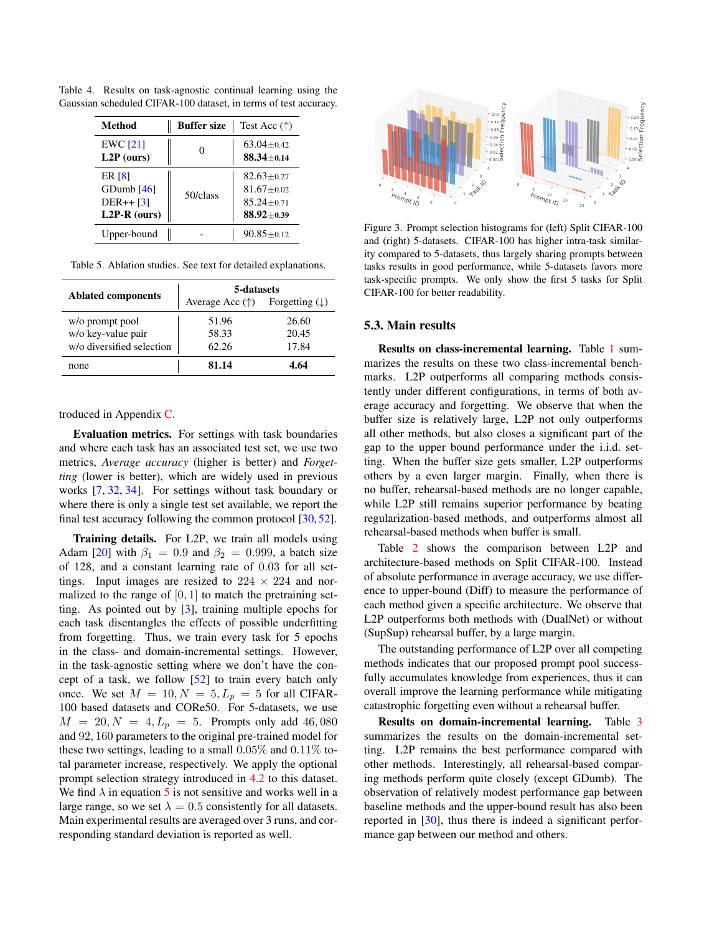| Method                                                  | <b>Buffer size</b> | Test Acc $(\uparrow)$                                                    |
|---------------------------------------------------------|--------------------|--------------------------------------------------------------------------|
| $EWC$ [21]<br>L2P (ours)                                |                    | $63.04 + 0.42$<br>$88.34 + 0.14$                                         |
| ER [8]<br>GDumb $[46]$<br>$DER++ [3]$<br>$L2P-R$ (ours) | 50/class           | $82.63 + 0.27$<br>$81.67 + 0.02$<br>$85.24 \pm 0.71$<br>$88.92 \pm 0.39$ |
| Upper-bound                                             |                    | $90.85 + 0.12$                                                           |

<span id="page-6-3"></span><span id="page-6-0"></span>Table 4. Results on task-agnostic continual learning using the Gaussian scheduled CIFAR-100 dataset, in terms of test accuracy.

<span id="page-6-1"></span>Table 5. Ablation studies. See text for detailed explanations.

|                           | 5-datasets               |                           |  |
|---------------------------|--------------------------|---------------------------|--|
| <b>Ablated components</b> | Average Acc $(\uparrow)$ | Forgetting $(\downarrow)$ |  |
| w/o prompt pool           | 51.96                    | 26.60                     |  |
| w/o key-value pair        | 58.33                    | 20.45                     |  |
| w/o diversified selection | 62.26                    | 17.84                     |  |
| none                      | 81.14                    | l 64                      |  |

troduced in Appendix [C.](#page-11-0)

Evaluation metrics. For settings with task boundaries and where each task has an associated test set, we use two metrics, *Average accuracy* (higher is better) and *Forgetting* (lower is better), which are widely used in previous works [\[7,](#page-8-10) [32,](#page-9-19) [34\]](#page-9-1). For settings without task boundary or where there is only a single test set available, we report the final test accuracy following the common protocol [\[30,](#page-9-21) [52\]](#page-10-17).

Training details. For L2P, we train all models using Adam [\[20\]](#page-8-19) with  $\beta_1 = 0.9$  and  $\beta_2 = 0.999$ , a batch size of 128, and a constant learning rate of 0.03 for all settings. Input images are resized to  $224 \times 224$  and normalized to the range of  $[0, 1]$  to match the pretraining setting. As pointed out by [\[3\]](#page-8-2), training multiple epochs for each task disentangles the effects of possible underfitting from forgetting. Thus, we train every task for 5 epochs in the class- and domain-incremental settings. However, in the task-agnostic setting where we don't have the concept of a task, we follow [\[52\]](#page-10-17) to train every batch only once. We set  $M = 10, N = 5, L_p = 5$  for all CIFAR-100 based datasets and CORe50. For 5-datasets, we use  $M = 20, N = 4, L_p = 5$ . Prompts only add 46,080 and 92, 160 parameters to the original pre-trained model for these two settings, leading to a small  $0.05\%$  and  $0.11\%$  total parameter increase, respectively. We apply the optional prompt selection strategy introduced in [4.2](#page-3-1) to this dataset. We find  $\lambda$  in equation [5](#page-4-0) is not sensitive and works well in a large range, so we set  $\lambda = 0.5$  consistently for all datasets. Main experimental results are averaged over 3 runs, and corresponding standard deviation is reported as well.

<span id="page-6-2"></span>

Figure 3. Prompt selection histograms for (left) Split CIFAR-100 and (right) 5-datasets. CIFAR-100 has higher intra-task similarity compared to 5-datasets, thus largely sharing prompts between tasks results in good performance, while 5-datasets favors more task-specific prompts. We only show the first 5 tasks for Split CIFAR-100 for better readability.

# 5.3. Main results

Results on class-incremental learning. Table [1](#page-5-0) summarizes the results on these two class-incremental benchmarks. L2P outperforms all comparing methods consistently under different configurations, in terms of both average accuracy and forgetting. We observe that when the buffer size is relatively large, L2P not only outperforms all other methods, but also closes a significant part of the gap to the upper bound performance under the i.i.d. setting. When the buffer size gets smaller, L2P outperforms others by a even larger margin. Finally, when there is no buffer, rehearsal-based methods are no longer capable, while L2P still remains superior performance by beating regularization-based methods, and outperforms almost all rehearsal-based methods when buffer is small.

Table [2](#page-5-1) shows the comparison between L2P and architecture-based methods on Split CIFAR-100. Instead of absolute performance in average accuracy, we use difference to upper-bound (Diff) to measure the performance of each method given a specific architecture. We observe that L2P outperforms both methods with (DualNet) or without (SupSup) rehearsal buffer, by a large margin.

The outstanding performance of L2P over all competing methods indicates that our proposed prompt pool successfully accumulates knowledge from experiences, thus it can overall improve the learning performance while mitigating catastrophic forgetting even without a rehearsal buffer.

Results on domain-incremental learning. Table [3](#page-5-2) summarizes the results on the domain-incremental setting. L2P remains the best performance compared with other methods. Interestingly, all rehearsal-based comparing methods perform quite closely (except GDumb). The observation of relatively modest performance gap between baseline methods and the upper-bound result has also been reported in [\[30\]](#page-9-21), thus there is indeed a significant performance gap between our method and others.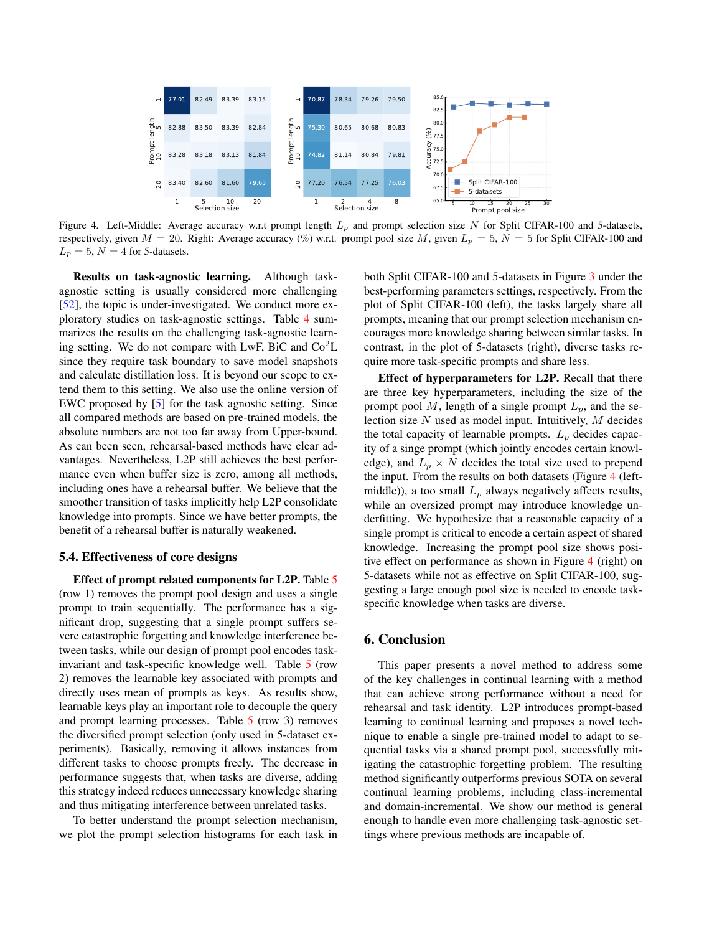<span id="page-7-2"></span><span id="page-7-1"></span>

Figure 4. Left-Middle: Average accuracy w.r.t prompt length  $L_p$  and prompt selection size N for Split CIFAR-100 and 5-datasets, respectively, given  $M = 20$ . Right: Average accuracy (%) w.r.t. prompt pool size M, given  $L_p = 5$ ,  $N = 5$  for Split CIFAR-100 and  $L_p = 5$ ,  $N = 4$  for 5-datasets.

Results on task-agnostic learning. Although taskagnostic setting is usually considered more challenging [\[52\]](#page-10-17), the topic is under-investigated. We conduct more exploratory studies on task-agnostic settings. Table [4](#page-6-0) summarizes the results on the challenging task-agnostic learning setting. We do not compare with LwF, BiC and  $Co<sup>2</sup>L$ since they require task boundary to save model snapshots and calculate distillation loss. It is beyond our scope to extend them to this setting. We also use the online version of EWC proposed by [\[5\]](#page-8-20) for the task agnostic setting. Since all compared methods are based on pre-trained models, the absolute numbers are not too far away from Upper-bound. As can been seen, rehearsal-based methods have clear advantages. Nevertheless, L2P still achieves the best performance even when buffer size is zero, among all methods, including ones have a rehearsal buffer. We believe that the smoother transition of tasks implicitly help L2P consolidate knowledge into prompts. Since we have better prompts, the benefit of a rehearsal buffer is naturally weakened.

# <span id="page-7-0"></span>5.4. Effectiveness of core designs

Effect of prompt related components for L2P. Table [5](#page-6-1) (row 1) removes the prompt pool design and uses a single prompt to train sequentially. The performance has a significant drop, suggesting that a single prompt suffers severe catastrophic forgetting and knowledge interference between tasks, while our design of prompt pool encodes taskinvariant and task-specific knowledge well. Table [5](#page-6-1) (row 2) removes the learnable key associated with prompts and directly uses mean of prompts as keys. As results show, learnable keys play an important role to decouple the query and prompt learning processes. Table [5](#page-6-1) (row 3) removes the diversified prompt selection (only used in 5-dataset experiments). Basically, removing it allows instances from different tasks to choose prompts freely. The decrease in performance suggests that, when tasks are diverse, adding this strategy indeed reduces unnecessary knowledge sharing and thus mitigating interference between unrelated tasks.

To better understand the prompt selection mechanism, we plot the prompt selection histograms for each task in both Split CIFAR-100 and 5-datasets in Figure [3](#page-6-2) under the best-performing parameters settings, respectively. From the plot of Split CIFAR-100 (left), the tasks largely share all prompts, meaning that our prompt selection mechanism encourages more knowledge sharing between similar tasks. In contrast, in the plot of 5-datasets (right), diverse tasks require more task-specific prompts and share less.

Effect of hyperparameters for L2P. Recall that there are three key hyperparameters, including the size of the prompt pool M, length of a single prompt  $L_p$ , and the selection size  $N$  used as model input. Intuitively,  $M$  decides the total capacity of learnable prompts.  $L_p$  decides capacity of a singe prompt (which jointly encodes certain knowledge), and  $L_p \times N$  decides the total size used to prepend the input. From the results on both datasets (Figure [4](#page-7-1) (leftmiddle)), a too small  $L_p$  always negatively affects results, while an oversized prompt may introduce knowledge underfitting. We hypothesize that a reasonable capacity of a single prompt is critical to encode a certain aspect of shared knowledge. Increasing the prompt pool size shows positive effect on performance as shown in Figure [4](#page-7-1) (right) on 5-datasets while not as effective on Split CIFAR-100, suggesting a large enough pool size is needed to encode taskspecific knowledge when tasks are diverse.

# 6. Conclusion

This paper presents a novel method to address some of the key challenges in continual learning with a method that can achieve strong performance without a need for rehearsal and task identity. L2P introduces prompt-based learning to continual learning and proposes a novel technique to enable a single pre-trained model to adapt to sequential tasks via a shared prompt pool, successfully mitigating the catastrophic forgetting problem. The resulting method significantly outperforms previous SOTA on several continual learning problems, including class-incremental and domain-incremental. We show our method is general enough to handle even more challenging task-agnostic settings where previous methods are incapable of.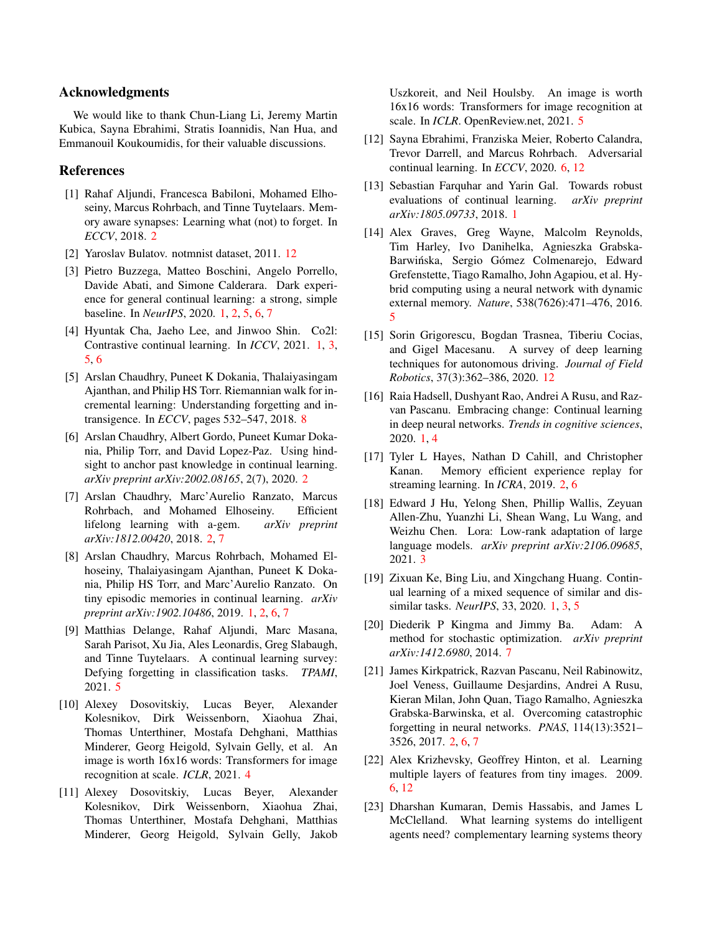# Acknowledgments

We would like to thank Chun-Liang Li, Jeremy Martin Kubica, Sayna Ebrahimi, Stratis Ioannidis, Nan Hua, and Emmanouil Koukoumidis, for their valuable discussions.

### References

- <span id="page-8-8"></span>[1] Rahaf Aljundi, Francesca Babiloni, Mohamed Elhoseiny, Marcus Rohrbach, and Tinne Tuytelaars. Memory aware synapses: Learning what (not) to forget. In *ECCV*, 2018. [2](#page-1-0)
- <span id="page-8-22"></span>[2] Yaroslav Bulatov. notmnist dataset, 2011. [12](#page-11-1)
- <span id="page-8-2"></span>[3] Pietro Buzzega, Matteo Boschini, Angelo Porrello, Davide Abati, and Simone Calderara. Dark experience for general continual learning: a strong, simple baseline. In *NeurIPS*, 2020. [1,](#page-0-1) [2,](#page-1-0) [5,](#page-4-3) [6,](#page-5-3) [7](#page-6-3)
- <span id="page-8-3"></span>[4] Hyuntak Cha, Jaeho Lee, and Jinwoo Shin. Co2l: Contrastive continual learning. In *ICCV*, 2021. [1,](#page-0-1) [3,](#page-2-1) [5,](#page-4-3) [6](#page-5-3)
- <span id="page-8-20"></span>[5] Arslan Chaudhry, Puneet K Dokania, Thalaiyasingam Ajanthan, and Philip HS Torr. Riemannian walk for incremental learning: Understanding forgetting and intransigence. In *ECCV*, pages 532–547, 2018. [8](#page-7-2)
- <span id="page-8-12"></span>[6] Arslan Chaudhry, Albert Gordo, Puneet Kumar Dokania, Philip Torr, and David Lopez-Paz. Using hindsight to anchor past knowledge in continual learning. *arXiv preprint arXiv:2002.08165*, 2(7), 2020. [2](#page-1-0)
- <span id="page-8-10"></span>[7] Arslan Chaudhry, Marc'Aurelio Ranzato, Marcus Rohrbach, and Mohamed Elhoseiny. Efficient lifelong learning with a-gem. *arXiv preprint arXiv:1812.00420*, 2018. [2,](#page-1-0) [7](#page-6-3)
- <span id="page-8-4"></span>[8] Arslan Chaudhry, Marcus Rohrbach, Mohamed Elhoseiny, Thalaiyasingam Ajanthan, Puneet K Dokania, Philip HS Torr, and Marc'Aurelio Ranzato. On tiny episodic memories in continual learning. *arXiv preprint arXiv:1902.10486*, 2019. [1,](#page-0-1) [2,](#page-1-0) [6,](#page-5-3) [7](#page-6-3)
- <span id="page-8-0"></span>[9] Matthias Delange, Rahaf Aljundi, Marc Masana, Sarah Parisot, Xu Jia, Ales Leonardis, Greg Slabaugh, and Tinne Tuytelaars. A continual learning survey: Defying forgetting in classification tasks. *TPAMI*, 2021. [5](#page-4-3)
- <span id="page-8-14"></span>[10] Alexey Dosovitskiy, Lucas Beyer, Alexander Kolesnikov, Dirk Weissenborn, Xiaohua Zhai, Thomas Unterthiner, Mostafa Dehghani, Matthias Minderer, Georg Heigold, Sylvain Gelly, et al. An image is worth 16x16 words: Transformers for image recognition at scale. *ICLR*, 2021. [4](#page-3-2)
- <span id="page-8-16"></span>[11] Alexey Dosovitskiy, Lucas Beyer, Alexander Kolesnikov, Dirk Weissenborn, Xiaohua Zhai, Thomas Unterthiner, Mostafa Dehghani, Matthias Minderer, Georg Heigold, Sylvain Gelly, Jakob

Uszkoreit, and Neil Houlsby. An image is worth 16x16 words: Transformers for image recognition at scale. In *ICLR*. OpenReview.net, 2021. [5](#page-4-3)

- <span id="page-8-18"></span>[12] Sayna Ebrahimi, Franziska Meier, Roberto Calandra, Trevor Darrell, and Marcus Rohrbach. Adversarial continual learning. In *ECCV*, 2020. [6,](#page-5-3) [12](#page-11-1)
- <span id="page-8-6"></span>[13] Sebastian Farquhar and Yarin Gal. Towards robust evaluations of continual learning. *arXiv preprint arXiv:1805.09733*, 2018. [1](#page-0-1)
- <span id="page-8-15"></span>[14] Alex Graves, Greg Wayne, Malcolm Reynolds, Tim Harley, Ivo Danihelka, Agnieszka Grabska-Barwińska, Sergio Gómez Colmenarejo, Edward Grefenstette, Tiago Ramalho, John Agapiou, et al. Hybrid computing using a neural network with dynamic external memory. *Nature*, 538(7626):471–476, 2016. [5](#page-4-3)
- <span id="page-8-21"></span>[15] Sorin Grigorescu, Bogdan Trasnea, Tiberiu Cocias, and Gigel Macesanu. A survey of deep learning techniques for autonomous driving. *Journal of Field Robotics*, 37(3):362–386, 2020. [12](#page-11-1)
- <span id="page-8-7"></span>[16] Raia Hadsell, Dushyant Rao, Andrei A Rusu, and Razvan Pascanu. Embracing change: Continual learning in deep neural networks. *Trends in cognitive sciences*, 2020. [1,](#page-0-1) [4](#page-3-2)
- <span id="page-8-11"></span>[17] Tyler L Hayes, Nathan D Cahill, and Christopher Kanan. Memory efficient experience replay for streaming learning. In *ICRA*, 2019. [2,](#page-1-0) [6](#page-5-3)
- <span id="page-8-13"></span>[18] Edward J Hu, Yelong Shen, Phillip Wallis, Zeyuan Allen-Zhu, Yuanzhi Li, Shean Wang, Lu Wang, and Weizhu Chen. Lora: Low-rank adaptation of large language models. *arXiv preprint arXiv:2106.09685*, 2021. [3](#page-2-1)
- <span id="page-8-5"></span>[19] Zixuan Ke, Bing Liu, and Xingchang Huang. Continual learning of a mixed sequence of similar and dissimilar tasks. *NeurIPS*, 33, 2020. [1,](#page-0-1) [3,](#page-2-1) [5](#page-4-3)
- <span id="page-8-19"></span>[20] Diederik P Kingma and Jimmy Ba. Adam: A method for stochastic optimization. *arXiv preprint arXiv:1412.6980*, 2014. [7](#page-6-3)
- <span id="page-8-9"></span>[21] James Kirkpatrick, Razvan Pascanu, Neil Rabinowitz, Joel Veness, Guillaume Desjardins, Andrei A Rusu, Kieran Milan, John Quan, Tiago Ramalho, Agnieszka Grabska-Barwinska, et al. Overcoming catastrophic forgetting in neural networks. *PNAS*, 114(13):3521– 3526, 2017. [2,](#page-1-0) [6,](#page-5-3) [7](#page-6-3)
- <span id="page-8-17"></span>[22] Alex Krizhevsky, Geoffrey Hinton, et al. Learning multiple layers of features from tiny images. 2009. [6,](#page-5-3) [12](#page-11-1)
- <span id="page-8-1"></span>[23] Dharshan Kumaran, Demis Hassabis, and James L McClelland. What learning systems do intelligent agents need? complementary learning systems theory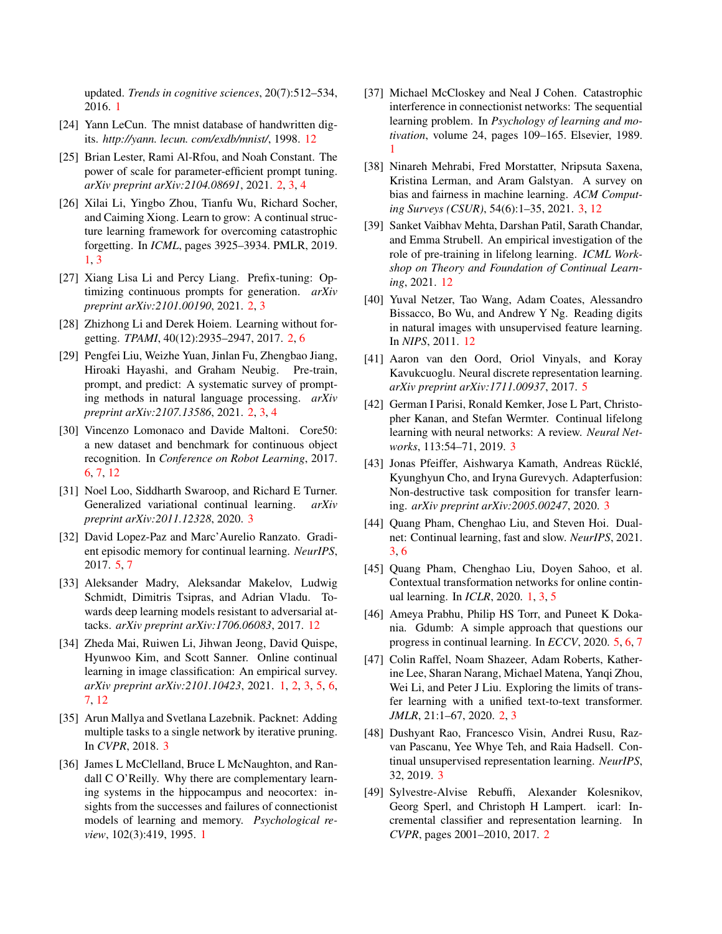updated. *Trends in cognitive sciences*, 20(7):512–534, 2016. [1](#page-0-1)

- <span id="page-9-23"></span>[24] Yann LeCun. The mnist database of handwritten digits. *http://yann. lecun. com/exdb/mnist/*, 1998. [12](#page-11-1)
- <span id="page-9-6"></span>[25] Brian Lester, Rami Al-Rfou, and Noah Constant. The power of scale for parameter-efficient prompt tuning. *arXiv preprint arXiv:2104.08691*, 2021. [2,](#page-1-0) [3,](#page-2-1) [4](#page-3-2)
- <span id="page-9-3"></span>[26] Xilai Li, Yingbo Zhou, Tianfu Wu, Richard Socher, and Caiming Xiong. Learn to grow: A continual structure learning framework for overcoming catastrophic forgetting. In *ICML*, pages 3925–3934. PMLR, 2019. [1,](#page-0-1) [3](#page-2-1)
- <span id="page-9-7"></span>[27] Xiang Lisa Li and Percy Liang. Prefix-tuning: Optimizing continuous prompts for generation. *arXiv preprint arXiv:2101.00190*, 2021. [2,](#page-1-0) [3](#page-2-1)
- <span id="page-9-9"></span>[28] Zhizhong Li and Derek Hoiem. Learning without forgetting. *TPAMI*, 40(12):2935–2947, 2017. [2,](#page-1-0) [6](#page-5-3)
- <span id="page-9-5"></span>[29] Pengfei Liu, Weizhe Yuan, Jinlan Fu, Zhengbao Jiang, Hiroaki Hayashi, and Graham Neubig. Pre-train, prompt, and predict: A systematic survey of prompting methods in natural language processing. *arXiv preprint arXiv:2107.13586*, 2021. [2,](#page-1-0) [3,](#page-2-1) [4](#page-3-2)
- <span id="page-9-21"></span>[30] Vincenzo Lomonaco and Davide Maltoni. Core50: a new dataset and benchmark for continuous object recognition. In *Conference on Robot Learning*, 2017. [6,](#page-5-3) [7,](#page-6-3) [12](#page-11-1)
- <span id="page-9-13"></span>[31] Noel Loo, Siddharth Swaroop, and Richard E Turner. Generalized variational continual learning. *arXiv preprint arXiv:2011.12328*, 2020. [3](#page-2-1)
- <span id="page-9-19"></span>[32] David Lopez-Paz and Marc'Aurelio Ranzato. Gradient episodic memory for continual learning. *NeurIPS*, 2017. [5,](#page-4-3) [7](#page-6-3)
- <span id="page-9-22"></span>[33] Aleksander Madry, Aleksandar Makelov, Ludwig Schmidt, Dimitris Tsipras, and Adrian Vladu. Towards deep learning models resistant to adversarial attacks. *arXiv preprint arXiv:1706.06083*, 2017. [12](#page-11-1)
- <span id="page-9-1"></span>[34] Zheda Mai, Ruiwen Li, Jihwan Jeong, David Quispe, Hyunwoo Kim, and Scott Sanner. Online continual learning in image classification: An empirical survey. *arXiv preprint arXiv:2101.10423*, 2021. [1,](#page-0-1) [2,](#page-1-0) [3,](#page-2-1) [5,](#page-4-3) [6,](#page-5-3) [7,](#page-6-3) [12](#page-11-1)
- <span id="page-9-15"></span>[35] Arun Mallya and Svetlana Lazebnik. Packnet: Adding multiple tasks to a single network by iterative pruning. In *CVPR*, 2018. [3](#page-2-1)
- <span id="page-9-2"></span>[36] James L McClelland, Bruce L McNaughton, and Randall C O'Reilly. Why there are complementary learning systems in the hippocampus and neocortex: insights from the successes and failures of connectionist models of learning and memory. *Psychological review*, 102(3):419, 1995. [1](#page-0-1)
- <span id="page-9-0"></span>[37] Michael McCloskey and Neal J Cohen. Catastrophic interference in connectionist networks: The sequential learning problem. In *Psychology of learning and motivation*, volume 24, pages 109–165. Elsevier, 1989. [1](#page-0-1)
- <span id="page-9-17"></span>[38] Ninareh Mehrabi, Fred Morstatter, Nripsuta Saxena, Kristina Lerman, and Aram Galstyan. A survey on bias and fairness in machine learning. *ACM Computing Surveys (CSUR)*, 54(6):1–35, 2021. [3,](#page-2-1) [12](#page-11-1)
- <span id="page-9-25"></span>[39] Sanket Vaibhav Mehta, Darshan Patil, Sarath Chandar, and Emma Strubell. An empirical investigation of the role of pre-training in lifelong learning. *ICML Workshop on Theory and Foundation of Continual Learning*, 2021. [12](#page-11-1)
- <span id="page-9-24"></span>[40] Yuval Netzer, Tao Wang, Adam Coates, Alessandro Bissacco, Bo Wu, and Andrew Y Ng. Reading digits in natural images with unsupervised feature learning. In *NIPS*, 2011. [12](#page-11-1)
- <span id="page-9-18"></span>[41] Aaron van den Oord, Oriol Vinyals, and Koray Kavukcuoglu. Neural discrete representation learning. *arXiv preprint arXiv:1711.00937*, 2017. [5](#page-4-3)
- <span id="page-9-12"></span>[42] German I Parisi, Ronald Kemker, Jose L Part, Christopher Kanan, and Stefan Wermter. Continual lifelong learning with neural networks: A review. *Neural Networks*, 113:54–71, 2019. [3](#page-2-1)
- <span id="page-9-16"></span>[43] Jonas Pfeiffer, Aishwarya Kamath, Andreas Rücklé, Kyunghyun Cho, and Iryna Gurevych. Adapterfusion: Non-destructive task composition for transfer learning. *arXiv preprint arXiv:2005.00247*, 2020. [3](#page-2-1)
- <span id="page-9-11"></span>[44] Quang Pham, Chenghao Liu, and Steven Hoi. Dualnet: Continual learning, fast and slow. *NeurIPS*, 2021. [3,](#page-2-1) [6](#page-5-3)
- <span id="page-9-4"></span>[45] Quang Pham, Chenghao Liu, Doyen Sahoo, et al. Contextual transformation networks for online continual learning. In *ICLR*, 2020. [1,](#page-0-1) [3,](#page-2-1) [5](#page-4-3)
- <span id="page-9-20"></span>[46] Ameya Prabhu, Philip HS Torr, and Puneet K Dokania. Gdumb: A simple approach that questions our progress in continual learning. In *ECCV*, 2020. [5,](#page-4-3) [6,](#page-5-3) [7](#page-6-3)
- <span id="page-9-8"></span>[47] Colin Raffel, Noam Shazeer, Adam Roberts, Katherine Lee, Sharan Narang, Michael Matena, Yanqi Zhou, Wei Li, and Peter J Liu. Exploring the limits of transfer learning with a unified text-to-text transformer. *JMLR*, 21:1–67, 2020. [2,](#page-1-0) [3](#page-2-1)
- <span id="page-9-14"></span>[48] Dushyant Rao, Francesco Visin, Andrei Rusu, Razvan Pascanu, Yee Whye Teh, and Raia Hadsell. Continual unsupervised representation learning. *NeurIPS*, 32, 2019. [3](#page-2-1)
- <span id="page-9-10"></span>[49] Sylvestre-Alvise Rebuffi, Alexander Kolesnikov, Georg Sperl, and Christoph H Lampert. icarl: Incremental classifier and representation learning. In *CVPR*, pages 2001–2010, 2017. [2](#page-1-0)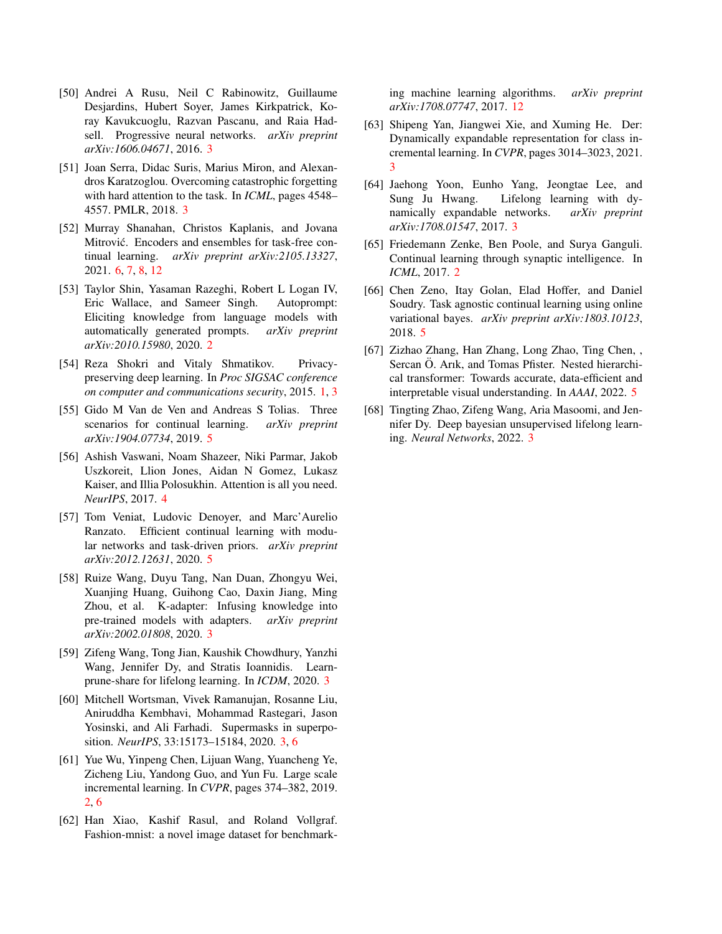- <span id="page-10-4"></span>[50] Andrei A Rusu, Neil C Rabinowitz, Guillaume Desjardins, Hubert Soyer, James Kirkpatrick, Koray Kavukcuoglu, Razvan Pascanu, and Raia Hadsell. Progressive neural networks. *arXiv preprint arXiv:1606.04671*, 2016. [3](#page-2-1)
- <span id="page-10-7"></span>[51] Joan Serra, Didac Suris, Marius Miron, and Alexandros Karatzoglou. Overcoming catastrophic forgetting with hard attention to the task. In *ICML*, pages 4548– 4557. PMLR, 2018. [3](#page-2-1)
- <span id="page-10-17"></span>[52] Murray Shanahan, Christos Kaplanis, and Jovana Mitrović. Encoders and ensembles for task-free continual learning. *arXiv preprint arXiv:2105.13327*, 2021. [6,](#page-5-3) [7,](#page-6-3) [8,](#page-7-2) [12](#page-11-1)
- <span id="page-10-1"></span>[53] Taylor Shin, Yasaman Razeghi, Robert L Logan IV, Eric Wallace, and Sameer Singh. Autoprompt: Eliciting knowledge from language models with automatically generated prompts. *arXiv preprint arXiv:2010.15980*, 2020. [2](#page-1-0)
- <span id="page-10-0"></span>[54] Reza Shokri and Vitaly Shmatikov. Privacypreserving deep learning. In *Proc SIGSAC conference on computer and communications security*, 2015. [1,](#page-0-1) [3](#page-2-1)
- <span id="page-10-13"></span>[55] Gido M Van de Ven and Andreas S Tolias. Three scenarios for continual learning. *arXiv preprint arXiv:1904.07734*, 2019. [5](#page-4-3)
- <span id="page-10-12"></span>[56] Ashish Vaswani, Noam Shazeer, Niki Parmar, Jakob Uszkoreit, Llion Jones, Aidan N Gomez, Lukasz Kaiser, and Illia Polosukhin. Attention is all you need. *NeurIPS*, 2017. [4](#page-3-2)
- <span id="page-10-16"></span>[57] Tom Veniat, Ludovic Denoyer, and Marc'Aurelio Ranzato. Efficient continual learning with modular networks and task-driven priors. *arXiv preprint arXiv:2012.12631*, 2020. [5](#page-4-3)
- <span id="page-10-11"></span>[58] Ruize Wang, Duyu Tang, Nan Duan, Zhongyu Wei, Xuanjing Huang, Guihong Cao, Daxin Jiang, Ming Zhou, et al. K-adapter: Infusing knowledge into pre-trained models with adapters. *arXiv preprint arXiv:2002.01808*, 2020. [3](#page-2-1)
- <span id="page-10-8"></span>[59] Zifeng Wang, Tong Jian, Kaushik Chowdhury, Yanzhi Wang, Jennifer Dy, and Stratis Ioannidis. Learnprune-share for lifelong learning. In *ICDM*, 2020. [3](#page-2-1)
- <span id="page-10-9"></span>[60] Mitchell Wortsman, Vivek Ramanujan, Rosanne Liu, Aniruddha Kembhavi, Mohammad Rastegari, Jason Yosinski, and Ali Farhadi. Supermasks in superposition. *NeurIPS*, 33:15173–15184, 2020. [3,](#page-2-1) [6](#page-5-3)
- <span id="page-10-3"></span>[61] Yue Wu, Yinpeng Chen, Lijuan Wang, Yuancheng Ye, Zicheng Liu, Yandong Guo, and Yun Fu. Large scale incremental learning. In *CVPR*, pages 374–382, 2019. [2,](#page-1-0) [6](#page-5-3)
- <span id="page-10-18"></span>[62] Han Xiao, Kashif Rasul, and Roland Vollgraf. Fashion-mnist: a novel image dataset for benchmark-

ing machine learning algorithms. *arXiv preprint arXiv:1708.07747*, 2017. [12](#page-11-1)

- <span id="page-10-10"></span>[63] Shipeng Yan, Jiangwei Xie, and Xuming He. Der: Dynamically expandable representation for class incremental learning. In *CVPR*, pages 3014–3023, 2021. [3](#page-2-1)
- <span id="page-10-5"></span>[64] Jaehong Yoon, Eunho Yang, Jeongtae Lee, and Sung Ju Hwang. Lifelong learning with dynamically expandable networks. *arXiv preprint arXiv:1708.01547*, 2017. [3](#page-2-1)
- <span id="page-10-2"></span>[65] Friedemann Zenke, Ben Poole, and Surya Ganguli. Continual learning through synaptic intelligence. In *ICML*, 2017. [2](#page-1-0)
- <span id="page-10-14"></span>[66] Chen Zeno, Itay Golan, Elad Hoffer, and Daniel Soudry. Task agnostic continual learning using online variational bayes. *arXiv preprint arXiv:1803.10123*, 2018. [5](#page-4-3)
- <span id="page-10-15"></span>[67] Zizhao Zhang, Han Zhang, Long Zhao, Ting Chen, , Sercan Ö. Arık, and Tomas Pfister. Nested hierarchical transformer: Towards accurate, data-efficient and interpretable visual understanding. In *AAAI*, 2022. [5](#page-4-3)
- <span id="page-10-6"></span>[68] Tingting Zhao, Zifeng Wang, Aria Masoomi, and Jennifer Dy. Deep bayesian unsupervised lifelong learning. *Neural Networks*, 2022. [3](#page-2-1)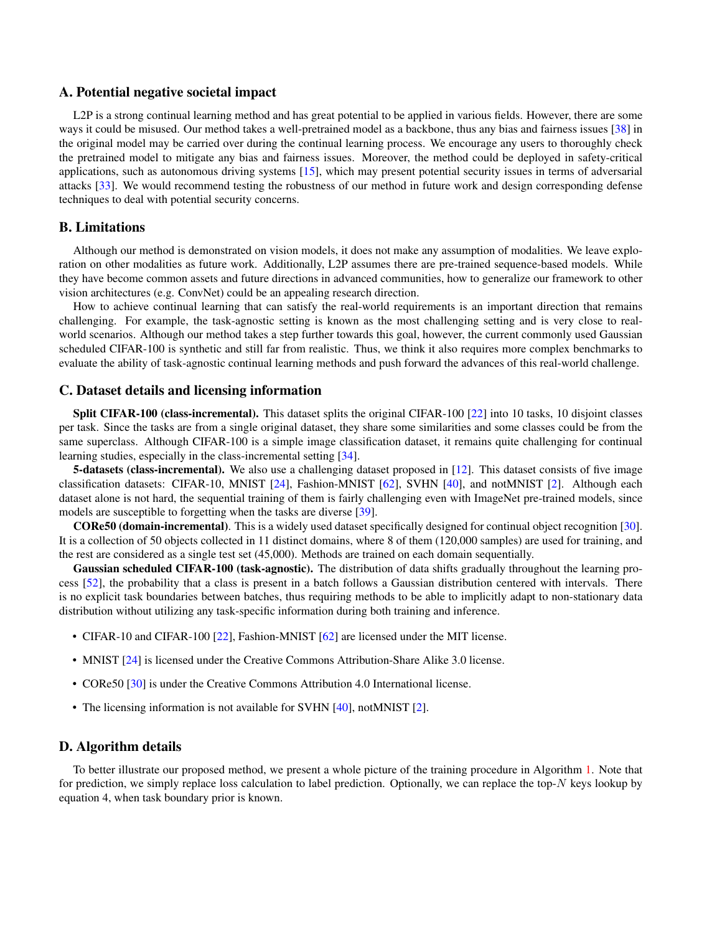### <span id="page-11-1"></span>A. Potential negative societal impact

L2P is a strong continual learning method and has great potential to be applied in various fields. However, there are some ways it could be misused. Our method takes a well-pretrained model as a backbone, thus any bias and fairness issues [\[38\]](#page-9-17) in the original model may be carried over during the continual learning process. We encourage any users to thoroughly check the pretrained model to mitigate any bias and fairness issues. Moreover, the method could be deployed in safety-critical applications, such as autonomous driving systems [\[15\]](#page-8-21), which may present potential security issues in terms of adversarial attacks [\[33\]](#page-9-22). We would recommend testing the robustness of our method in future work and design corresponding defense techniques to deal with potential security concerns.

# B. Limitations

Although our method is demonstrated on vision models, it does not make any assumption of modalities. We leave exploration on other modalities as future work. Additionally, L2P assumes there are pre-trained sequence-based models. While they have become common assets and future directions in advanced communities, how to generalize our framework to other vision architectures (e.g. ConvNet) could be an appealing research direction.

How to achieve continual learning that can satisfy the real-world requirements is an important direction that remains challenging. For example, the task-agnostic setting is known as the most challenging setting and is very close to realworld scenarios. Although our method takes a step further towards this goal, however, the current commonly used Gaussian scheduled CIFAR-100 is synthetic and still far from realistic. Thus, we think it also requires more complex benchmarks to evaluate the ability of task-agnostic continual learning methods and push forward the advances of this real-world challenge.

# <span id="page-11-0"></span>C. Dataset details and licensing information

Split CIFAR-100 (class-incremental). This dataset splits the original CIFAR-100 [\[22\]](#page-8-17) into 10 tasks, 10 disjoint classes per task. Since the tasks are from a single original dataset, they share some similarities and some classes could be from the same superclass. Although CIFAR-100 is a simple image classification dataset, it remains quite challenging for continual learning studies, especially in the class-incremental setting [\[34\]](#page-9-1).

**5-datasets (class-incremental).** We also use a challenging dataset proposed in [\[12\]](#page-8-18). This dataset consists of five image classification datasets: CIFAR-10, MNIST [\[24\]](#page-9-23), Fashion-MNIST [\[62\]](#page-10-18), SVHN [\[40\]](#page-9-24), and notMNIST [\[2\]](#page-8-22). Although each dataset alone is not hard, the sequential training of them is fairly challenging even with ImageNet pre-trained models, since models are susceptible to forgetting when the tasks are diverse [\[39\]](#page-9-25).

CORe50 (domain-incremental). This is a widely used dataset specifically designed for continual object recognition [\[30\]](#page-9-21). It is a collection of 50 objects collected in 11 distinct domains, where 8 of them (120,000 samples) are used for training, and the rest are considered as a single test set (45,000). Methods are trained on each domain sequentially.

Gaussian scheduled CIFAR-100 (task-agnostic). The distribution of data shifts gradually throughout the learning process [\[52\]](#page-10-17), the probability that a class is present in a batch follows a Gaussian distribution centered with intervals. There is no explicit task boundaries between batches, thus requiring methods to be able to implicitly adapt to non-stationary data distribution without utilizing any task-specific information during both training and inference.

- CIFAR-10 and CIFAR-100 [\[22\]](#page-8-17), Fashion-MNIST [\[62\]](#page-10-18) are licensed under the MIT license.
- MNIST [\[24\]](#page-9-23) is licensed under the Creative Commons Attribution-Share Alike 3.0 license.
- CORe50 [\[30\]](#page-9-21) is under the Creative Commons Attribution 4.0 International license.
- The licensing information is not available for SVHN [\[40\]](#page-9-24), notMNIST [\[2\]](#page-8-22).

### D. Algorithm details

To better illustrate our proposed method, we present a whole picture of the training procedure in Algorithm [1.](#page-12-0) Note that for prediction, we simply replace loss calculation to label prediction. Optionally, we can replace the top- $N$  keys lookup by equation 4, when task boundary prior is known.